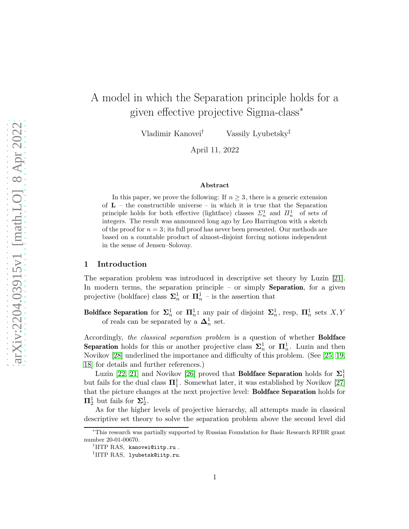# A model in which the Separation principle holds for a given effective projective Sigma-class<sup>∗</sup>

Vladimir Kanovei† Vassily Lyubetsky‡

April 11, 2022

#### Abstract

In this paper, we prove the following: If  $n \geq 3$ , there is a generic extension of  $L$  – the constructible universe – in which it is true that the Separation principle holds for both effective (lightface) classes  $\Sigma_n^1$  and  $\Pi_n^1$  of sets of integers. The result was announced long ago by Leo Harrington with a sketch of the proof for  $n = 3$ ; its full proof has never been presented. Our methods are based on a countable product of almost-disjoint forcing notions independent in the sense of Jensen–Solovay.

#### 1 Introduction

The separation problem was introduced in descriptive set theory by Luzin [\[21\]](#page-15-0). In modern terms, the separation principle – or simply **Separation**, for a given projective (boldface) class  $\Sigma_n^1$  or  $\Pi_n^1$  – is the assertion that

Boldface Separation for  $\Sigma_n^1$  or  $\Pi_n^1$ : any pair of disjoint  $\Sigma_n^1$ , resp,  $\Pi_n^1$  sets  $X, Y$ of reals can be separated by a  $\Delta_n^1$  set.

Accordingly, the classical separation problem is a question of whether **Boldface Separation** holds for this or another projective class  $\Sigma_n^1$  or  $\Pi_n^1$ . Luzin and then Novikov [\[28\]](#page-16-0) underlined the importance and difficulty of this problem. (See [\[25,](#page-15-1) [19,](#page-15-2) [18\]](#page-15-3) for details and further references.)

Luzin [\[22,](#page-15-4) [21\]](#page-15-0) and Novikov [\[26\]](#page-15-5) proved that **Boldface Separation** holds for  $\Sigma_1^1$ but fails for the dual class  $\mathbf{\Pi}^1_1$ . Somewhat later, it was established by Novikov [\[27\]](#page-15-6) that the picture changes at the next projective level: Boldface Separation holds for  $\Pi^1_2$  but fails for  $\Sigma^1_2$ .

As for the higher levels of projective hierarchy, all attempts made in classical descriptive set theory to solve the separation problem above the second level did

<sup>∗</sup>This research was partially supported by Russian Foundation for Basic Research RFBR grant number 20-01-00670.

<sup>†</sup> IITP RAS, kanovei@iitp.ru .

<sup>‡</sup> IITP RAS, lyubetsk@iitp.ru.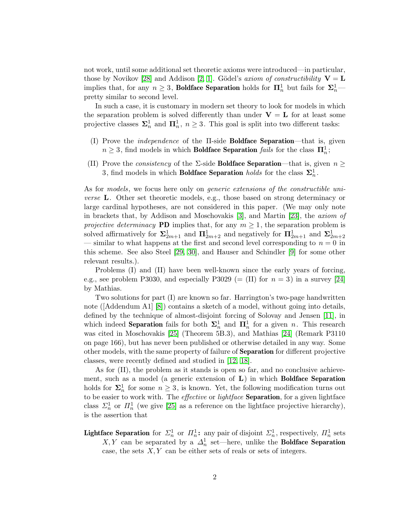not work, until some additional set theoretic axioms were introduced—in particular, those by Novikov [\[28\]](#page-16-0) and Addison [\[2,](#page-14-0) [1\]](#page-14-1). Gödel's axiom of constructibility  $V = L$ implies that, for any  $n \geq 3$ , **Boldface Separation** holds for  $\mathbf{\Pi}_n^1$  but fails for  $\mathbf{\Sigma}_n^1$  pretty similar to second level.

In such a case, it is customary in modern set theory to look for models in which the separation problem is solved differently than under  $V = L$  for at least some projective classes  $\sum_{n=1}^{\infty}$  and  $\prod_{n=1}^{\infty}$ ,  $n \geq 3$ . This goal is split into two different tasks:

- (I) Prove the independence of the Π-side Boldface Separation—that is, given  $n \geq 3$ , find models in which **Boldface Separation** fails for the class  $\mathbf{\Pi}^1_n$ ;
- (II) Prove the *consistency* of the  $\Sigma$ -side **Boldface Separation**—that is, given  $n \geq$ 3, find models in which **Boldface Separation** holds for the class  $\Sigma_n^1$ .

As for models, we focus here only on *generic extensions of the constructible uni*verse L. Other set theoretic models, e.g., those based on strong determinacy or large cardinal hypotheses, are not considered in this paper. (We may only note in brackets that, by Addison and Moschovakis [\[3\]](#page-14-2), and Martin [\[23\]](#page-15-7), the axiom of projective determinacy **PD** implies that, for any  $m \geq 1$ , the separation problem is solved affirmatively for  $\Sigma_{2m+1}^1$  and  $\Pi_{2m+2}^1$  and negatively for  $\Pi_{2m+1}^1$  and  $\Sigma_{2m+2}^1$ — similar to what happens at the first and second level corresponding to  $n = 0$  in this scheme. See also Steel [\[29,](#page-16-1) [30\]](#page-16-2), and Hauser and Schindler [\[9\]](#page-14-3) for some other relevant results.).

Problems (I) and (II) have been well-known since the early years of forcing, e.g., see problem P3030, and especially P3029 (= (II) for  $n = 3$ ) in a survey [\[24\]](#page-15-8) by Mathias.

Two solutions for part (I) are known so far. Harrington's two-page handwritten note ([Addendum A1] [\[8\]](#page-14-4)) contains a sketch of a model, without going into details, defined by the technique of almost-disjoint forcing of Solovay and Jensen [\[11\]](#page-15-9), in which indeed **Separation** fails for both  $\Sigma_n^1$  and  $\Pi_n^1$  for a given n. This research was cited in Moschovakis [\[25\]](#page-15-1) (Theorem 5B.3), and Mathias [\[24\]](#page-15-8) (Remark P3110 on page 166), but has never been published or otherwise detailed in any way. Some other models, with the same property of failure of Separation for different projective classes, were recently defined and studied in [\[12,](#page-15-10) [18\]](#page-15-3).

As for (II), the problem as it stands is open so far, and no conclusive achievement, such as a model (a generic extension of  $L$ ) in which **Boldface Separation** holds for  $\Sigma_n^1$  for some  $n \geq 3$ , is known. Yet, the following modification turns out to be easier to work with. The *effective* or *lightface* **Separation**, for a given lightface class  $\Sigma_n^1$  or  $\Pi_n^1$  (we give [\[25\]](#page-15-1) as a reference on the lightface projective hierarchy), is the assertion that

**Lightface Separation** for  $\Sigma_n^1$  or  $\Pi_n^1$ : any pair of disjoint  $\Sigma_n^1$ , respectively,  $\Pi_n^1$  sets X, Y can be separated by a  $\Delta_n^1$  set—here, unlike the **Boldface Separation** case, the sets  $X, Y$  can be either sets of reals or sets of integers.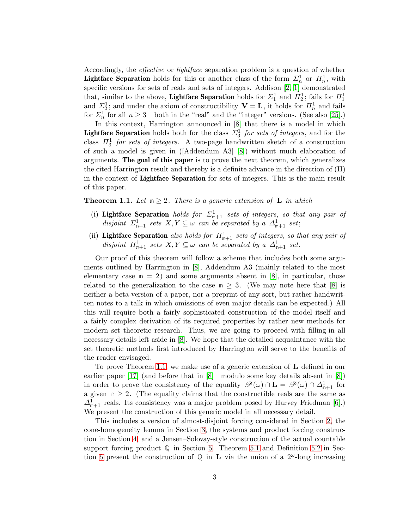Accordingly, the effective or lightface separation problem is a question of whether **Lightface Separation** holds for this or another class of the form  $\Sigma_n^1$  or  $\Pi_n^1$ , with specific versions for sets of reals and sets of integers. Addison [\[2,](#page-14-0) [1\]](#page-14-1) demonstrated that, similar to the above, **Lightface Separation** holds for  $\Sigma_1^1$  and  $\Pi_2^1$ ; fails for  $\Pi_1^1$ and  $\Sigma_2^1$ ; and under the axiom of constructibility  $\mathbf{V} = \mathbf{L}$ , it holds for  $\Pi_n^1$  and fails for  $\Sigma_n^1$  for all  $n \geq 3$ —both in the "real" and the "integer" versions. (See also [\[25\]](#page-15-1).)

In this context, Harrington announced in [\[8\]](#page-14-4) that there is a model in which **Lightface Separation** holds both for the class  $\Sigma_3^1$  for sets of integers, and for the class  $\Pi_3^1$  for sets of integers. A two-page handwritten sketch of a construction of such a model is given in ([Addendum A3] [\[8\]](#page-14-4)) without much elaboration of arguments. The goal of this paper is to prove the next theorem, which generalizes the cited Harrington result and thereby is a definite advance in the direction of (II) in the context of Lightface Separation for sets of integers. This is the main result of this paper.

<span id="page-2-0"></span>**Theorem 1.1.** Let  $n \geq 2$ . There is a generic extension of **L** in which

- (i) Lightface Separation holds for  $\Sigma_{n+1}^1$  sets of integers, so that any pair of disjoint  $\Sigma_{n+1}^1$  sets  $X, Y \subseteq \omega$  can be separated by a  $\Delta_{n+1}^1$  set;
- (ii) **Lightface Separation** also holds for  $\Pi_{n+1}^1$  sets of integers, so that any pair of disjoint  $\Pi_{n+1}^1$  sets  $X, Y \subseteq \omega$  can be separated by a  $\Delta_{n+1}^1$  set.

Our proof of this theorem will follow a scheme that includes both some arguments outlined by Harrington in [\[8\]](#page-14-4), Addendum A3 (mainly related to the most elementary case  $n = 2$ ) and some arguments absent in [\[8\]](#page-14-4), in particular, those related to the generalization to the case  $n \geq 3$ . (We may note here that [\[8\]](#page-14-4) is neither a beta-version of a paper, nor a preprint of any sort, but rather handwritten notes to a talk in which omissions of even major details can be expected.) All this will require both a fairly sophisticated construction of the model itself and a fairly complex derivation of its required properties by rather new methods for modern set theoretic research. Thus, we are going to proceed with filling-in all necessary details left aside in [\[8\]](#page-14-4). We hope that the detailed acquaintance with the set theoretic methods first introduced by Harrington will serve to the benefits of the reader envisaged.

To prove Theorem [1.1,](#page-2-0) we make use of a generic extension of L defined in our earlier paper [\[17\]](#page-15-11) (and before that in [\[8\]](#page-14-4)—modulo some key details absent in [\[8\]](#page-14-4)) in order to prove the consistency of the equality  $\mathscr{P}(\omega) \cap L = \mathscr{P}(\omega) \cap \Delta^1_{n+1}$  for a given  $n \geq 2$ . (The equality claims that the constructible reals are the same as  $\Delta_{n+1}^1$  reals. Its consistency was a major problem posed by Harvey Friedman [\[6\]](#page-14-5).) We present the construction of this generic model in all necessary detail.

This includes a version of almost-disjoint forcing considered in Section [2,](#page-3-0) the cone-homogeneity lemma in Section [3,](#page-4-0) the systems and product forcing construction in Section [4,](#page-5-0) and a Jensen–Solovay-style construction of the actual countable support forcing product  $\mathbb Q$  in Section [5.](#page-5-1) Theorem [5.1](#page-7-0) and Definition [5.2](#page-7-1) in Sec-tion [5](#page-5-1) present the construction of  $\mathbb{Q}$  in **L** via the union of a  $2^{\omega}$ -long increasing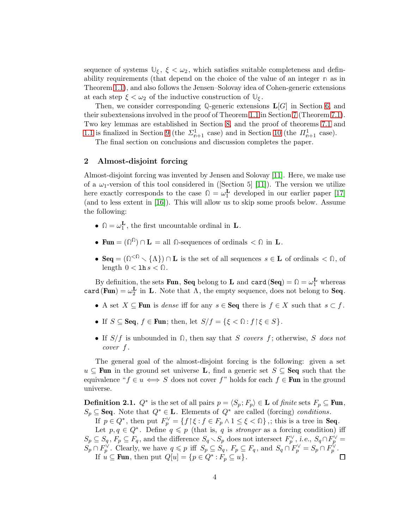sequence of systems  $\mathbb{U}_{\xi}$ ,  $\xi < \omega_2$ , which satisfies suitable completeness and definability requirements (that depend on the choice of the value of an integer **n** as in Theorem [1.1\)](#page-2-0), and also follows the Jensen–Solovay idea of Cohen-generic extensions at each step  $\xi < \omega_2$  of the inductive construction of  $\mathbb{U}_{\xi}$ .

Then, we consider corresponding  $\mathbb{Q}$ -generic extensions  $\mathbf{L}[G]$  in Section [6,](#page-8-0) and their subextensions involved in the proof of Theorem [1.1](#page-2-0) in Section [7](#page-9-0) (Theorem [7.1\)](#page-9-1). Two key lemmas are established in Section [8,](#page-10-0) and the proof of theorems [7.1](#page-9-1) and [1.1](#page-2-0) is finalized in Section [9](#page-11-0) (the  $\Sigma_{\mathbf{n}+1}^1$  case) and in Section [10](#page-13-0) (the  $\Pi_{\mathbf{n}+1}^1$  case).

The final section on conclusions and discussion completes the paper.

### <span id="page-3-0"></span>2 Almost-disjoint forcing

Almost-disjoint forcing was invented by Jensen and Solovay [\[11\]](#page-15-9). Here, we make use of a  $\omega_1$ -version of this tool considered in ([Section 5] [\[11\]](#page-15-9)). The version we utilize here exactly corresponds to the case  $\Omega = \omega_1^{\mathbf{L}}$  developed in our earlier paper [\[17\]](#page-15-11) (and to less extent in [\[16\]](#page-15-12)). This will allow us to skip some proofs below. Assume the following:

- $\mathbb{\Omega} = \omega_1^{\mathbf{L}}$ , the first uncountable ordinal in **L**.
- Fun =  $(\Omega^{\Omega}) \cap L = \text{all } \Omega$ -sequences of ordinals  $\langle \Omega \rangle$  in L.
- Seq =  $(\mathbb{Q}^{\leq \mathbb{Q}} \setminus {\Lambda}) \cap L$  is the set of all sequences  $s \in L$  of ordinals  $\leq \mathbb{Q}$ , of length  $0 < \ln s < \Omega$ .

By definition, the sets **Fun**, **Seq** belong to **L** and  $\text{card}(\text{Seq}) = \mathbb{Q} = \omega_1^{\mathbf{L}}$  whereas card (Fun) =  $\omega_2^{\mathbf{L}}$  in **L**. Note that  $\Lambda$ , the empty sequence, does not belong to **Seq**.

- A set  $X \subseteq \textbf{Fun}$  is dense iff for any  $s \in \textbf{Seq}$  there is  $f \in X$  such that  $s \subset f$ .
- If  $S \subseteq \textbf{Seq}, f \in \textbf{Fun}$ ; then, let  $S/f = \{ \xi \leq \mathbb{Q} : f \, | \, \xi \in S \}$ .
- If  $S/f$  is unbounded in  $\Omega$ , then say that S covers f; otherwise, S does not cover f .

The general goal of the almost-disjoint forcing is the following: given a set  $u \text{ }\subseteq$  Fun in the ground set universe L, find a generic set  $S \subseteq$  Seq such that the equivalence " $f \in u \iff S$  does not cover f" holds for each  $f \in \text{Fun}$  in the ground universe.

**Definition 2.1.**  $Q^*$  is the set of all pairs  $p = \langle S_p, F_p \rangle \in L$  of finite sets  $F_p \subseteq \textbf{Fun}$ ,  $S_p \subseteq \textbf{Seq}$ . Note that  $Q^* \in \mathbf{L}$ . Elements of  $Q^*$  are called (forcing) conditions.

If  $p \in Q^*$ , then put  $F_p^{\vee} = \{ f \mid \xi : f \in F_p \land 1 \leq \xi \leq \mathbb{Q} \}$ ,; this is a tree in **Seq.** 

Let  $p, q \in Q^*$ . Define  $q \leqslant p$  (that is, q is *stronger* as a forcing condition) iff  $S_p \subseteq S_q$ ,  $F_p \subseteq F_q$ , and the difference  $S_q \setminus S_p$  does not intersect  $F_p^{\vee}$ , i.e.,  $S_q \cap F_p^{\vee} =$  $S_p \cap F_p^{\vee}$ . Clearly, we have  $q \leq p$  iff  $S_p \subseteq S_q$ ,  $F_p \subseteq F_q$ , and  $S_q \cap F_p^{\vee} = S_p \cap F_p^{\vee}$ . If  $u \subseteq \textbf{Fun}$ , then put  $Q[u] = \{p \in Q^* : F_p \subseteq u\}.$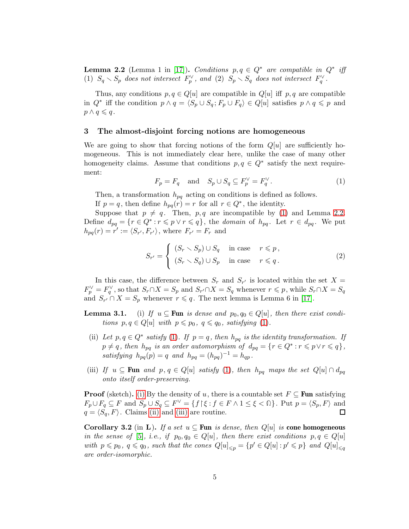<span id="page-4-2"></span>**Lemma 2.2** (Lemma 1 in [\[17\]](#page-15-11)). Conditions  $p, q \in Q^*$  are compatible in  $Q^*$  iff (1)  $S_q \setminus S_p$  does not intersect  $F_p^{\vee}$ , and (2)  $S_p \setminus S_q$  does not intersect  $F_q^{\vee}$ .

Thus, any conditions  $p, q \in Q[u]$  are compatible in  $Q[u]$  iff p, q are compatible in  $Q^*$  iff the condition  $p \wedge q = \langle S_p \cup S_q; F_p \cup F_q \rangle \in Q[u]$  satisfies  $p \wedge q \leqslant p$  and  $p \wedge q \leqslant q$ .

#### <span id="page-4-0"></span>3 The almost-disjoint forcing notions are homogeneous

We are going to show that forcing notions of the form  $Q[u]$  are sufficiently homogeneous. This is not immediately clear here, unlike the case of many other homogeneity claims. Assume that conditions  $p, q \in Q^*$  satisfy the next requirement:

<span id="page-4-1"></span>
$$
F_p = F_q \quad \text{and} \quad S_p \cup S_q \subseteq F_p^{\vee} = F_q^{\vee}.
$$
 (1)

Then, a transformation  $h_{pq}$  acting on conditions is defined as follows.

If  $p = q$ , then define  $h_{pq}(r) = r$  for all  $r \in Q^*$ , the identity.

Suppose that  $p \neq q$ . Then, p, q are incompatible by [\(1\)](#page-4-1) and Lemma [2.2.](#page-4-2) Define  $d_{pq} = \{r \in Q^* : r \leqslant p \vee r \leqslant q\}$ , the domain of  $h_{pq}$ . Let  $r \in d_{pq}$ . We put  $h_{pq}(r) = r' := \langle S_{r'}, F_{r'} \rangle$ , where  $F_{r'} = F_r$  and

$$
S_{r'} = \begin{cases} (S_r \setminus S_p) \cup S_q & \text{in case} & r \leq p, \\ (S_r \setminus S_q) \cup S_p & \text{in case} & r \leq q. \end{cases}
$$
 (2)

In this case, the difference between  $S_r$  and  $S_{r'}$  is located within the set  $X =$  $F_p^{\vee} = F_q^{\vee}$ , so that  $S_r \cap X = S_p$  and  $S_{r'} \cap X = S_q$  whenever  $r \leqslant p$ , while  $S_r \cap X = S_q$ and  $S_{r'} \cap X = S_p$  whenever  $r \leq q$ . The next lemma is Lemma 6 in [\[17\]](#page-15-11).

- <span id="page-4-4"></span><span id="page-4-3"></span>**Lemma 3.1.** (i) If  $u \subseteq \textbf{Fun}$  is dense and  $p_0, q_0 \in Q[u]$ , then there exist conditions  $p, q \in Q[u]$  with  $p \leq p_0, q \leq q_0$ , satisfying [\(1\)](#page-4-1).
	- (ii) Let  $p, q \in Q^*$  satisfy [\(1\)](#page-4-1). If  $p = q$ , then  $h_{pq}$  is the identity transformation. If  $p \neq q$ , then  $h_{pq}$  is an order automorphism of  $d_{pq} = \{r \in Q^* : r \leqslant p \vee r \leqslant q\},\$ satisfying  $h_{pq}(p) = q$  and  $h_{pq} = (h_{pq})^{-1} = h_{qp}$ .
- <span id="page-4-5"></span>(iii) If  $u \subseteq \textbf{Fun}$  and  $p, q \in Q[u]$  satisfy [\(1\)](#page-4-1), then  $h_{pq}$  maps the set  $Q[u] \cap d_{pq}$ onto itself order-preserving.

**Proof** (sketch). [\(i\)](#page-4-3) By the density of u, there is a countable set  $F \subseteq \textbf{Fun}$  satisfying  $F_p \cup F_q \subseteq F$  and  $S_p \cup S_q \subseteq F^{\vee} = \{f \mid \xi : f \in F \wedge 1 \leq \xi < \Omega\}$ . Put  $p = \langle S_p, F \rangle$  and  $q = \langle S_q, F \rangle$ . Claims [\(ii\)](#page-4-4) and [\(iii\)](#page-4-5) are routine.  $\Box$ 

<span id="page-4-6"></span>Corollary 3.2 (in L). If a set  $u \subseteq \text{Fun }$  is dense, then  $Q[u]$  is cone homogeneous in the sense of [\[5\]](#page-14-6), i.e., if  $p_0, q_0 \in Q[u]$ , then there exist conditions  $p, q \in Q[u]$ with  $p \leq p_0$ ,  $q \leq q_0$ , such that the cones  $Q[u]_{\leq p} = \{p' \in Q[u] : p' \leq p\}$  and  $Q[u]_{\leq q}$ are order-isomorphic.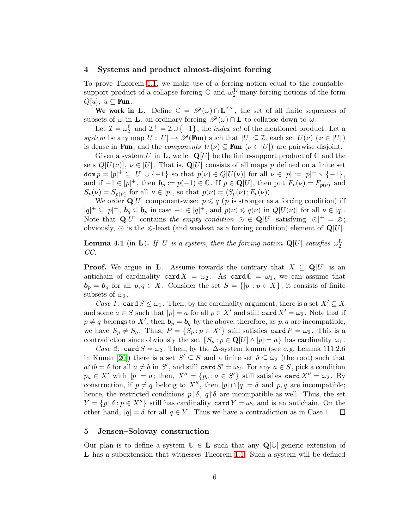#### <span id="page-5-0"></span>4 Systems and product almost-disjoint forcing

To prove Theorem [1.1,](#page-2-0) we make use of a forcing notion equal to the countablesupport product of a collapse forcing  $\mathbb C$  and  $\omega_2^{\mathbf L}$ -many forcing notions of the form  $Q[u], u \subseteq \textbf{Fun}.$ 

We work in L. Define  $\mathbb{C} = \mathscr{P}(\omega) \cap L^{\leq \omega}$ , the set of all finite sequences of subsets of  $\omega$  in **L**, an ordinary forcing  $\mathscr{P}(\omega) \cap L$  to collapse down to  $\omega$ .

Let  $\mathcal{I} = \omega_2^{\mathbf{L}}$  and  $\mathcal{I}^+ = \mathcal{I} \cup \{-1\}$ , the *index set* of the mentioned product. Let a system be any map  $U : |U| \to \mathscr{P}(\text{Fun})$  such that  $|U| \subseteq \mathcal{I}$ , each set  $U(\nu)$  ( $\nu \in |U|$ ) is dense in Fun, and the *components*  $U(\nu) \subseteq \text{Fun}(\nu \in |U|)$  are pairwise disjoint.

Given a system U in **L**, we let  $\mathbf{Q}[U]$  be the finite-support product of  $\mathbb{C}$  and the sets  $Q[U(\nu)]$ ,  $\nu \in [U]$ . That is,  $Q[U]$  consists of all maps p defined on a finite set  $\text{dom } p = |p|^+ \subseteq |U| \cup \{-1\}$  so that  $p(\nu) \in Q[U(\nu)]$  for all  $\nu \in |p| := |p|^+ \setminus \{-1\},$ and if  $-1 \in |p|^+$ , then  $\mathbf{b}_p := p(-1) \in \mathbb{C}$ . If  $p \in \mathbf{Q}[U]$ , then put  $F_p(\nu) = F_{p(\nu)}$  and  $S_p(\nu) = S_{p(\nu)}$  for all  $\nu \in |p|$ , so that  $p(\nu) = \langle S_p(\nu); F_p(\nu) \rangle$ .

We order  $\mathbf{Q}[U]$  component-wise:  $p \leq q$  (p is stronger as a forcing condition) iff  $|q|^+ \subseteq |p|^+$ ,  $\mathbf{b}_q \subseteq \mathbf{b}_p$  in case  $-1 \in |q|^+$ , and  $p(\nu) \leq q(\nu)$  in  $Q[U(\nu)]$  for all  $\nu \in |q|$ . Note that  $\mathbf{Q}[U]$  contains the empty condition  $\odot \in \mathbf{Q}[U]$  satisfying  $|\odot|^+ = \varnothing$ ; obviously,  $\odot$  is the  $\leq$ -least (and weakest as a forcing condition) element of  $\mathbf{Q}[U]$ .

<span id="page-5-2"></span>**Lemma 4.1** (in **L**). If U is a system, then the forcing notion  $Q[U]$  satisfies  $\omega_2^L$ -CC.

**Proof.** We argue in **L**. Assume towards the contrary that  $X \subseteq \mathbb{Q}[U]$  is an antichain of cardinality card  $X = \omega_2$ . As card  $\mathbb{C} = \omega_1$ , we can assume that  $\mathbf{b}_p = \mathbf{b}_q$  for all  $p, q \in X$ . Consider the set  $S = \{ |p| : p \in X \}$ ; it consists of finite subsets of  $\omega_2$ .

Case 1: card  $S \leq \omega_1$ . Then, by the cardinality argument, there is a set  $X' \subseteq X$ and some  $a \in S$  such that  $|p| = a$  for all  $p \in X'$  and still card  $X' = \omega_2$ . Note that if  $p \neq q$  belongs to X', then  $\mathbf{b}_p = \mathbf{b}_q$  by the above; therefore, as  $p, q$  are incompatible, we have  $S_p \neq S_q$ . Thus,  $P = \{S_p : p \in X'\}$  still satisfies card  $P = \omega_2$ . This is a contradiction since obviously the set  $\{S_p : p \in \mathbf{Q}[U] \wedge |p| = a\}$  has cardinality  $\omega_1$ .

Case 2: card  $S = \omega_2$ . Then, by the  $\Delta$ -system lemma (see e.g. Lemma 111.2.6) in Kunen [\[20\]](#page-15-13)) there is a set  $S' \subseteq S$  and a finite set  $\delta \subseteq \omega_2$  (the root) such that  $a \cap b = \delta$  for all  $a \neq b$  in S', and still card  $S' = \omega_2$ . For any  $a \in S$ , pick a condition  $p_a \in X'$  with  $|p| = a$ ; then,  $X'' = \{p_a : a \in S'\}$  still satisfies card  $X'' = \omega_2$ . By construction, if  $p \neq q$  belong to  $X''$ , then  $|p| \cap |q| = \delta$  and  $p, q$  are incompatible; hence, the restricted conditions  $p \upharpoonright \delta$ ,  $q \upharpoonright \delta$  are incompatible as well. Thus, the set  $Y = \{p \mid \delta : p \in X''\}$  still has cardinality card  $Y = \omega_2$  and is an antichain. On the other hand,  $|q| = \delta$  for all  $q \in Y$ . Thus we have a contradiction as in Case 1.  $\Box$ 

#### <span id="page-5-1"></span>5 Jensen–Solovay construction

Our plan is to define a system  $\mathbb{U} \in L$  such that any  $\mathbf{Q}[\mathbb{U}]$ -generic extension of L has a subextension that witnesses Theorem [1.1.](#page-2-0) Such a system will be defined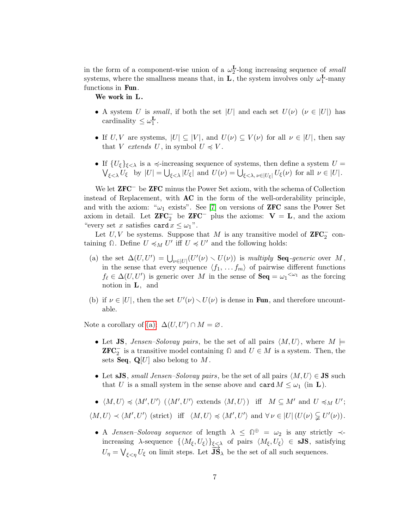in the form of a component-wise union of a  $\omega_2^{\mathbf{L}}$ -long increasing sequence of small systems, where the smallness means that, in  $\mathbf{L}$ , the system involves only  $\omega_1^{\mathbf{L}}$ -many functions in Fun.

We work in L.

- A system U is small, if both the set |U| and each set  $U(\nu)$  ( $\nu \in |U|$ ) has cardinality  $\leq \omega_1^{\mathbf{L}}$ .
- If U, V are systems,  $|U| \subseteq |V|$ , and  $U(\nu) \subseteq V(\nu)$  for all  $\nu \in |U|$ , then say that V extends U, in symbol  $U \preccurlyeq V$ .
- If  ${U_{\xi}}_{\xi<\lambda}$  is a  $\preccurlyeq$ -increasing sequence of systems, then define a system  $U =$  $\bigvee_{\xi<\lambda}U_{\xi}$  by  $|U| = \bigcup_{\xi<\lambda}|U_{\xi}|$  and  $U(\nu) = \bigcup_{\xi<\lambda, \nu\in |U_{\xi}|}U_{\xi}(\nu)$  for all  $\nu \in |U|$ .

We let **ZFC**<sup>−</sup> be **ZFC** minus the Power Set axiom, with the schema of Collection instead of Replacement, with AC in the form of the well-orderability principle, and with the axiom: " $\omega_1$  exists". See [\[7\]](#page-14-7) on versions of **ZFC** sans the Power Set axiom in detail. Let  $\mathbf{ZFC}^-$  be  $\mathbf{ZFC}^-$  plus the axioms:  $\mathbf{V} = \mathbf{L}$ , and the axiom "every set x satisfies card  $x \leq \omega_1$ ".

Let  $U, V$  be systems. Suppose that M is any transitive model of  $\mathbf{ZFC}_{2}^{-}$  containing  $\Omega$ . Define  $U \preccurlyeq_M U'$  iff  $U \preccurlyeq U'$  and the following holds:

- <span id="page-6-0"></span>(a) the set  $\Delta(U, U') = \bigcup_{\nu \in |U|} (U'(\nu) \setminus U(\nu))$  is multiply **Seq**-generic over M, in the sense that every sequence  $\langle f_1, \ldots, f_m \rangle$  of pairwise different functions  $f_{\ell} \in \Delta(U, U')$  is generic over M in the sense of  $\textbf{Seq} = \omega_1^{\langle \omega_1 \rangle}$  as the forcing notion in L, and
- (b) if  $\nu \in |U|$ , then the set  $U'(\nu) \setminus U(\nu)$  is dense in **Fun**, and therefore uncountable.

Note a corollary of [\(a\):](#page-6-0)  $\Delta(U, U') \cap M = \emptyset$ .

- Let JS, *Jensen–Solovay pairs*, be the set of all pairs  $\langle M, U \rangle$ , where  $M \models$ **ZFC**<sup> $\overline{C}$ </sup> is a transitive model containing  $\Omega$  and  $U \in M$  is a system. Then, the sets **Seq**,  $\mathbf{Q}[U]$  also belong to M.
- Let sJS, small Jensen–Solovay pairs, be the set of all pairs  $\langle M, U \rangle \in \mathbf{JS}$  such that U is a small system in the sense above and card  $M \leq \omega_1$  (in **L**).
- $\langle M, U \rangle \preccurlyeq \langle M', U' \rangle \; (\langle M', U' \rangle \text{ extends } \langle M, U \rangle) \text{ iff } M \subseteq M' \text{ and } U \preccurlyeq_M U';$

 $\langle M, U \rangle \prec \langle M', U' \rangle$  (strict) iff  $\langle M, U \rangle \preccurlyeq \langle M', U' \rangle$  and  $\forall \nu \in |U| \left( U(\nu) \subsetneqq U'(\nu) \right)$ .

• A *Jensen–Solovay sequence* of length  $\lambda \leq \mathbb{D}^{\oplus} = \omega_2$  is any strictly  $\prec$ increasing  $\lambda$ -sequence  $\{\langle M_{\xi}, U_{\xi} \rangle\}_{\xi \leq \lambda}$  of pairs  $\langle M_{\xi}, U_{\xi} \rangle \in sJS$ , satisfying  $U_{\eta} = \bigvee_{\xi < \eta} U_{\xi}$  on limit steps. Let  $\overrightarrow{JS}_{\lambda}$  be the set of all such sequences.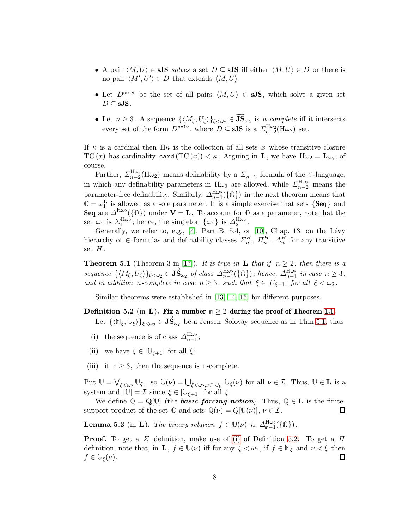- A pair  $\langle M, U \rangle \in sJS$  solves a set  $D \subseteq sJS$  iff either  $\langle M, U \rangle \in D$  or there is no pair  $\langle M', U' \rangle \in D$  that extends  $\langle M, U \rangle$ .
- Let  $D^{\text{solv}}$  be the set of all pairs  $\langle M, U \rangle \in sJS$ , which solve a given set  $D \subseteq$  sJS.
- Let  $n \geq 3$ . A sequence  $\{\langle M_\xi, U_\xi \rangle\}_{\xi < \omega_2} \in \overrightarrow{\textbf{JS}}_{\omega_2}$  is *n-complete* iff it intersects every set of the form  $D^{\texttt{solv}}$ , where  $D \subseteq$  sJS is a  $\sum_{n=2}^{H\omega_2} (\text{H}\omega_2)$  set.

If  $\kappa$  is a cardinal then H $\kappa$  is the collection of all sets x whose transitive closure TC  $(x)$  has cardinality card  $(\text{TC}(x)) < \kappa$ . Arguing in **L**, we have  $H\omega_2 = L_{\omega_2}$ , of course.

Further,  $\Sigma_{n-2}^{\text{H}\omega_2}(\text{H}\omega_2)$  means definability by a  $\Sigma_{n-2}$  formula of the  $\in$ -language, in which any definability parameters in  $H\omega_2$  are allowed, while  $\Sigma_{n-2}^{H\omega_2}$  means the parameter-free definability. Similarly,  $\Delta_{n-1}^{H\omega_2}(\{\Omega\})$  in the next theorem means that  $\Omega = \omega_1^{\mathbf{L}}$  is allowed as a sole parameter. It is a simple exercise that sets  $\{Seq\}$  and Seq are  $\Delta_{1}^{\text{H}\omega_2}(\{\Omega\})$  under  $\mathbf{V} = \mathbf{L}$ . To account for  $\Omega$  as a parameter, note that the set  $\omega_1$  is  $\overline{\Sigma}_1^{\text{H}\omega_2}$ ; hence, the singleton  $\{\omega_1\}$  is  $\Delta_2^{\text{H}\omega_2}$ .

Generally, we refer to, e.g.,  $[4]$ , Part B, 5.4, or  $[10]$ , Chap. 13, on the Lévy hierarchy of  $\in$ -formulas and definability classes  $\Sigma_n^H$ ,  $\Pi_n^H$ ,  $\Delta_n^H$  for any transitive set  $H$ .

<span id="page-7-0"></span>**Theorem 5.1** (Theorem 3 in [\[17\]](#page-15-11)). It is true in **L** that if  $n \geq 2$ , then there is a sequence  $\{\langle M_{\xi}, U_{\xi}\rangle\}_{\xi\langle\omega_2}\in \overline{\mathbf{JS}}_{\omega_2}^{\omega}$  of class  $\Delta_{n-1}^{\mathrm{H}\omega_2}(\{\Omega\})$ ; hence,  $\Delta_{n-1}^{\mathrm{H}\omega_2}$  in case  $n\geq 3$ , and in addition n-complete in case  $n \geq 3$ , such that  $\xi \in |U_{\xi+1}|$  for all  $\xi < \omega_2$ .

Similar theorems were established in [\[13,](#page-15-15) [14,](#page-15-16) [15\]](#page-15-17) for different purposes.

- <span id="page-7-2"></span><span id="page-7-1"></span>Definition 5.2 (in L). Fix a number  $n \geq 2$  during the proof of Theorem [1.1.](#page-2-0) Let  $\{(\mathbb{M}_{\xi}, \mathbb{U}_{\xi})\}_{\xi < \omega_2} \in \mathbf{J} \mathbf{S}_{\omega_2}$  be a Jensen–Solovay sequence as in Thm [5.1,](#page-7-0) thus
	- (i) the sequence is of class  $\Delta_{n-1}^{H\omega_2}$ ;
	- (ii) we have  $\xi \in |\mathbb{U}_{\xi+1}|$  for all  $\xi$ ;
- (iii) if  $n \geq 3$ , then the sequence is *n*-complete.

Put  $\mathbb{U} = \bigvee_{\xi < \omega_2} \mathbb{U}_{\xi}$ , so  $\mathbb{U}(\nu) = \bigcup_{\xi < \omega_2, \nu \in |\mathbb{U}_{\xi}|} \mathbb{U}_{\xi}(\nu)$  for all  $\nu \in \mathcal{I}$ . Thus,  $\mathbb{U} \in \mathbf{L}$  is a system and  $|\mathbb{U}| = \mathcal{I}$  since  $\xi \in |\mathbb{U}_{\xi+1}|$  for all  $\xi$ .

We define  $\mathbb{Q} = \mathbf{Q}[\mathbb{U}]$  (the **basic forcing notion**). Thus,  $\mathbb{Q} \in \mathbf{L}$  is the finitesupport product of the set  $\mathbb{C}$  and sets  $\mathbb{Q}(\nu) = Q[\mathbb{U}(\nu)], \nu \in \mathcal{I}$ .  $\Box$ 

<span id="page-7-3"></span>**Lemma 5.3** (in **L**). The binary relation  $f \in \mathbb{U}(\nu)$  is  $\Delta_{n-1}^{H\omega_2}(\{\Omega\})$ .

**Proof.** To get a  $\Sigma$  definition, make use of [\(i\)](#page-7-2) of Definition [5.2.](#page-7-1) To get a  $\Pi$ definition, note that, in **L**,  $f \in \mathbb{U}(\nu)$  iff for any  $\xi < \omega_2$ , if  $f \in \mathbb{M}_{\xi}$  and  $\nu < \xi$  then  $f \in \mathbb{U}_{\xi}(\nu)$ .  $\Box$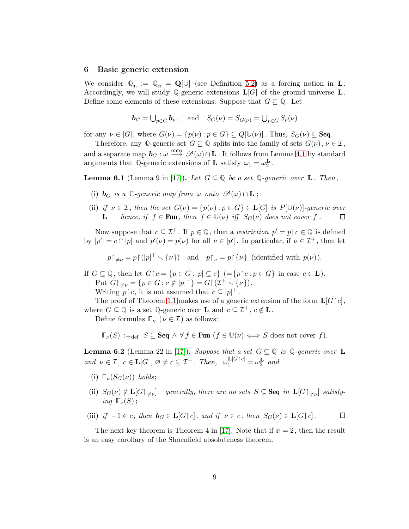#### <span id="page-8-0"></span>6 Basic generic extension

We consider  $\mathbb{Q}_n := \mathbb{Q}_n = \mathbf{Q}[\mathbb{U}]$  (see Definition [5.2\)](#page-7-1) as a forcing notion in **L**. Accordingly, we will study  $\mathbb{Q}$ -generic extensions  $\mathbf{L}[G]$  of the ground universe  $\mathbf{L}$ . Define some elements of these extensions. Suppose that  $G \subseteq \mathbb{Q}$ . Let

$$
\mathbf{b}_G = \bigcup_{p \in G} \mathbf{b}_p, \quad \text{and} \quad S_G(\nu) = S_{G(\nu)} = \bigcup_{p \in G} S_p(\nu)
$$

for any  $\nu \in |G|$ , where  $G(\nu) = \{p(\nu) : p \in G\} \subseteq Q[\mathbb{U}(\nu)]$ . Thus,  $S_G(\nu) \subseteq \textbf{Seq}$ .

Therefore, any Q-generic set  $G \subseteq \mathbb{Q}$  splits into the family of sets  $G(\nu)$ ,  $\nu \in \mathcal{I}$ , and a separate map  $b_G : \omega \stackrel{\text{onto}}{\longrightarrow} \mathscr{P}(\omega) \cap \mathbf{L}$ . It follows from Lemma [4.1](#page-5-2) by standard arguments that  $\mathbb{Q}$ -generic extensions of **L** satisfy  $\omega_1 = \omega_2^{\mathbf{L}}$ .

<span id="page-8-2"></span><span id="page-8-1"></span>**Lemma 6.1** (Lemma 9 in [\[17\]](#page-15-11)). Let  $G \subseteq \mathbb{Q}$  be a set  $\mathbb{Q}$ -generic over **L**. Then,

- (i)  $\mathbf{b}_G$  is a  $\mathbb{C}$ -generic map from  $\omega$  onto  $\mathscr{P}(\omega) \cap \mathbf{L}$ ;
- (ii) if  $\nu \in \mathcal{I}$ , then the set  $G(\nu) = \{p(\nu) : p \in G\} \in \mathbf{L}[G]$  is  $P[\mathbb{U}(\nu)]$ -generic over **L** — hence, if  $f \in \text{Fun}$ , then  $f \in \mathbb{U}(\nu)$  iff  $S_G(\nu)$  does not cover f. 口

Now suppose that  $c \subseteq \mathcal{I}^+$ . If  $p \in \mathbb{Q}$ , then a *restriction*  $p' = p \upharpoonright c \in \mathbb{Q}$  is defined by  $|p'| = c \cap |p|$  and  $p'(\nu) = p(\nu)$  for all  $\nu \in |p'|$ . In particular, if  $\nu \in \mathcal{I}^+$ , then let

 $p \upharpoonright_{\neq \nu} = p \upharpoonright (|p|^+ \setminus \{\nu\}) \text{ and } p \upharpoonright_{\nu} = p \upharpoonright \{\nu\} \text{ (identified with } p(\nu)).$ 

If  $G \subseteq \mathbb{Q}$ , then let  $G \upharpoonright c = \{p \in G : |p| \subseteq c\}$   $( = \{p \upharpoonright c : p \in G\}$  in case  $c \in \mathbf{L}$ ). Put  $G\upharpoonright_{\neq \nu} = \{p \in G : \nu \notin |p|^+\} = G\upharpoonright (\mathcal{I}^+ \setminus \{\nu\}).$ 

Writing  $p \restriction c$ , it is not assumed that  $c \subseteq |p|^+$ .

The proof of Theorem [1.1](#page-2-0) makes use of a generic extension of the form  $\mathbf{L}[G \mid c]$ , where  $G \subseteq \mathbb{Q}$  is a set  $\mathbb{Q}$ -generic over **L** and  $c \subseteq \mathcal{I}^+, c \notin \mathbf{L}$ .

Define formulas  $\mathbb{F}_{\nu}$  ( $\nu \in \mathcal{I}$ ) as follows:

$$
\mathbb{T}_{\nu}(S) :=_{\text{def}} S \subseteq \text{Seq} \land \forall f \in \text{Fun} \ (f \in \mathbb{U}(\nu) \iff S \text{ does not cover } f).
$$

<span id="page-8-3"></span>**Lemma 6.2** (Lemma 22 in [\[17\]](#page-15-11)). Suppose that a set  $G \subseteq \mathbb{Q}$  is  $\mathbb{Q}$ -generic over **L** and  $\nu \in \mathcal{I}$ ,  $c \in \mathbf{L}[G]$ ,  $\varnothing \neq c \subseteq \mathcal{I}^+$ . Then,  $\omega_1^{\mathbf{L}[G \restriction c]} = \omega_2^{\mathbf{L}}$  and

- <span id="page-8-6"></span><span id="page-8-5"></span>(i)  $\Gamma_{\nu}(S_G(\nu))$  holds;
- (ii)  $S_G(\nu) \notin L[G\upharpoonright_{\neq \nu}]$  —generally, there are no sets  $S \subseteq \mathbf{Seq}$  in  $L[G\upharpoonright_{\neq \nu}]$  satisfying  $\mathbb{F}_{\nu}(S)$ :
- <span id="page-8-4"></span>(iii) if  $-1 \in c$ , then  $\mathbf{b}_G \in \mathbf{L}[G \restriction c]$ , and if  $\nu \in c$ , then  $S_G(\nu) \in \mathbf{L}[G \restriction c]$ .  $\Box$

The next key theorem is Theorem 4 in [\[17\]](#page-15-11). Note that if  $n = 2$ , then the result is an easy corollary of the Shoenfield absoluteness theorem.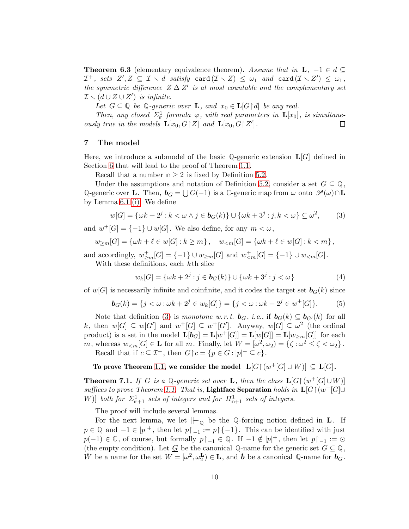<span id="page-9-3"></span>**Theorem 6.3** (elementary equivalence theorem). Assume that in  $\mathbf{L}$ ,  $-1 \in d \subseteq$  $\mathcal{I}^+$ , sets  $Z', Z\ \subseteq\ \mathcal{I}\smallsetminus d\ \textit{ satisfy}\ \textsf{card}\,(\mathcal{I}\smallsetminus Z)\ \leq\ \omega_1\ \textit{ and}\ \textsf{card}\,(\mathcal{I}\smallsetminus Z')\ \leq\ \omega_1\,,$ the symmetric difference  $Z \Delta Z'$  is at most countable and the complementary set  $\mathcal{I} \setminus (d \cup Z \cup Z')$  is infinite.

Let  $G \subseteq \mathbb{Q}$  be  $\mathbb{Q}$ -generic over **L**, and  $x_0 \in \mathbf{L}[G \mid d]$  be any real.

Then, any closed  $\Sigma^1_{\mathfrak{n}}$  formula  $\varphi$ , with real parameters in  $\mathbf{L}[x_0]$ , is simultaneously true in the models  $\mathbf{L}[x_0, G \restriction Z]$  and  $\mathbf{L}[x_0, G \restriction Z']$ .  $\Box$ 

#### <span id="page-9-0"></span>7 The model

Here, we introduce a submodel of the basic **Q**-generic extension L[G] defined in Section [6](#page-8-0) that will lead to the proof of Theorem [1.1.](#page-2-0)

Recall that a number  $n \geq 2$  is fixed by Definition [5.2.](#page-7-1)

Under the assumptions and notation of Definition [5.2,](#page-7-1) consider a set  $G \subseteq \mathbb{Q}$ , Q-generic over **L**. Then,  $\mathbf{b}_G = \bigcup G(-1)$  is a  $\mathbb{C}$ -generic map from  $\omega$  onto  $\mathscr{P}(\omega) \cap \mathbf{L}$ by Lemma [6.1](#page-8-1) [\(i\).](#page-8-2) We define

<span id="page-9-2"></span>
$$
w[G] = \{ \omega k + 2^j : k < \omega \land j \in \mathbf{b}_G(k) \} \cup \{ \omega k + 3^j : j, k < \omega \} \subseteq \omega^2,\tag{3}
$$

and  $w^+[G] = \{-1\} \cup w[G]$ . We also define, for any  $m < \omega$ ,

$$
w_{\geq m}[G] = \{\omega k + \ell \in w[G] : k \geq m\}, \quad w_{\leq m}[G] = \{\omega k + \ell \in w[G] : k < m\},\
$$

and accordingly,  $w_{\geq m}^+[G] = \{-1\} \cup w_{\geq m}[G]$  and  $w_{\leq m}^+[G] = \{-1\} \cup w_{\leq m}[G]$ . With these definitions, each kth slice

$$
w_k[G] = \{ \omega k + 2^j : j \in \mathbf{b}_G(k) \} \cup \{ \omega k + 3^j : j < \omega \} \tag{4}
$$

of w[G] is necessarily infinite and coinfinite, and it codes the target set  $\mathbf{b}_G(k)$  since

$$
\mathbf{b}_G(k) = \{ j < \omega : \omega k + 2^j \in w_k[G] \} = \{ j < \omega : \omega k + 2^j \in w^+[G] \}. \tag{5}
$$

Note that definition [\(3\)](#page-9-2) is monotone w.r.t.  $\mathbf{b}_G$ , i.e., if  $\mathbf{b}_G(k) \subseteq \mathbf{b}_{G'}(k)$  for all k, then  $w[G] \subseteq w[G']$  and  $w^+[G] \subseteq w^+[G']$ . Anyway,  $w[G] \subseteq \omega^2$  (the ordinal product) is a set in the model  $\mathbf{L}[\boldsymbol{b}_G] = \mathbf{L}[w^+[G]] = \mathbf{L}[w[G]] = \mathbf{L}[w_{\geq m}[G]]$  for each m, whereas  $w_{\leq m}[G] \in \mathbf{L}$  for all m. Finally, let  $W = [\omega^2, \omega_2) = {\zeta : \omega^2 \leq \zeta < \omega_2}$ . Recall that if  $c \subseteq \mathcal{I}^+$ , then  $G \upharpoonright c = \{ p \in G : |p|^+ \subseteq c \}.$ 

To prove Theorem [1.1,](#page-2-0) we consider the model  $\ L[G]{\restriction} (w^+[G]\cup W)]\ \subseteq\ L[G]$  .

<span id="page-9-1"></span>**Theorem 7.1.** If G is a Q-generic set over **L**, then the class  $\mathbf{L}[G \mid (w^+[G] \cup W)]$ suffices to prove Theorem [1.1.](#page-2-0) That is, Lightface Separation holds in  $\mathbf{L}[G \mid (w^+[G] \cup$ W)] both for  $\Sigma_{n+1}^1$  sets of integers and for  $\Pi_{n+1}^1$  sets of integers.

The proof will include several lemmas.

For the next lemma, we let  $\|\text{\textendash}_{\mathbb{Q}}$  be the Q-forcing notion defined in **L**. If  $p \in \mathbb{Q}$  and  $-1 \in |p|^+$ , then let  $p \restriction_{-1} := p \restriction \{-1\}$ . This can be identified with just  $p(-1) \in \mathbb{C}$ , of course, but formally  $p \upharpoonright_{-1} \in \mathbb{Q}$ . If  $-1 \notin |p|$ <sup>+</sup>, then let  $p \upharpoonright_{-1} := \odot$ (the empty condition). Let <u>G</u> be the canonical  $\mathbb{Q}$ -name for the generic set  $G \subseteq \mathbb{Q}$ ,  $\check{W}$  be a name for the set  $W = [\omega^2, \omega_2^{\mathbf{L}}) \in \mathbf{L}$ , and  $\check{\mathbf{b}}$  be a canonical Q-name for  $\mathbf{b}_G$ .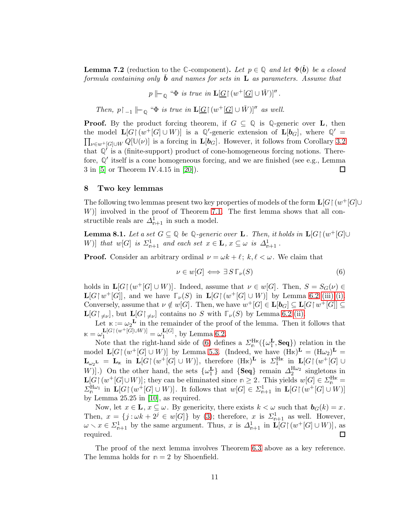<span id="page-10-3"></span>**Lemma 7.2** (reduction to the  $\mathbb{C}$ -component). Let  $p \in \mathbb{Q}$  and let  $\Phi(\check{\boldsymbol{b}})$  be a closed formula containing only **b** and names for sets in  $\bf{L}$  as parameters. Assume that

 $p \Vdash_{\mathbb{Q}} \text{``}\Phi \text{ is true in } \mathbf{L}[\underline{G} \restriction (w^+[\underline{G}] \cup W)]''.$ 

Then,  $p \restriction_{-1} \models_{\mathbb{Q}} \text{``$\Phi$ is true in $\mathbf{L}[\underline{G} \restriction (w^+[\underline{G}] \cup W)]$''}$  as well.

**Proof.** By the product forcing theorem, if  $G \subseteq \mathbb{Q}$  is  $\mathbb{Q}$ -generic over **L**, then the model  $\mathbf{L}[G \restriction (w^+[G] \cup W)]$  is a  $\mathbb{Q}'$ -generic extension of  $\mathbf{L}[\boldsymbol{b}_G]$ , where  $\mathbb{Q}' =$  $\prod_{\nu\in w^+[G]\cup W} Q[\mathbb{U}(\nu)]$  is a forcing in  $\mathbf{L}[\boldsymbol{b}_G]$ . However, it follows from Corollary [3.2](#page-4-6) that  $\mathbb{Q}^{\prime}$  is a (finite-support) product of cone-homogeneous forcing notions. Therefore, **Q** ′ itself is a cone homogeneous forcing, and we are finished (see e.g., Lemma 3 in [\[5\]](#page-14-6) or Theorem IV.4.15 in [\[20\]](#page-15-13)).  $\Box$ 

#### <span id="page-10-0"></span>8 Two key lemmas

The following two lemmas present two key properties of models of the form  $\mathbf{L}[G \mid (w^+[G] \cup$ W)] involved in the proof of Theorem [7.1.](#page-9-1) The first lemma shows that all constructible reals are  $\Delta_{n+1}^1$  in such a model.

<span id="page-10-2"></span>**Lemma 8.1.** Let a set  $G \subseteq \mathbb{Q}$  be  $\mathbb{Q}$ -generic over **L**. Then, it holds in  $\mathbf{L}[G \mid (w^+[G] \cup$ W)] that  $w[G]$  is  $\Sigma_{n+1}^1$  and each set  $x \in \mathbf{L}$ ,  $x \subseteq \omega$  is  $\Delta_{n+1}^1$ .

**Proof.** Consider an arbitrary ordinal  $\nu = \omega k + \ell$ ;  $k, \ell < \omega$ . We claim that

<span id="page-10-1"></span>
$$
\nu \in w[G] \iff \exists \, S \, \mathbb{T}_{\nu}(S) \tag{6}
$$

holds in  $\mathbf{L}[G \mid (w^+[G] \cup W)]$ . Indeed, assume that  $\nu \in w[G]$ . Then,  $S = S_G(\nu) \in$  $\mathbf{L}[G \upharpoonright w^+[G]],$  and we have  $\mathbb{F}_{\nu}(S)$  in  $\mathbf{L}[G \upharpoonright (w^+[G] \cup W)]$  by Lemma [6.2](#page-8-3) [\(iii\),](#page-8-4)[\(i\).](#page-8-5) Conversely, assume that  $\nu \notin w[G]$ . Then, we have  $w^+[G] \in \mathbf{L}[b_G] \subseteq \mathbf{L}[G \restriction w^+[G]] \subseteq$  $\mathbf{L}[G\upharpoonright_{\neq \nu}]$ , but  $\mathbf{L}[G\upharpoonright_{\neq \nu}]$  contains no S with  $\mathbb{F}_{\nu}(S)$  by Lemma [6.2](#page-8-3) [\(ii\).](#page-8-6)

Let  $\kappa := \omega_2^L$  in the remainder of the proof of the lemma. Then it follows that  $\kappa = \omega_1^{\mathbf{L}[G\restriction (w^+[G]\cup W)]} = \omega_1^{\mathbf{L}[G]}$  $_1^{\mathbf{L}[\mathbf{G}]}$ , by Lemma [6.2.](#page-8-3)

Note that the right-hand side of [\(6\)](#page-10-1) defines a  $\Sigma_n^{\text{H}_{\text{BK}}}(\{\omega_1^{\text{L}}, \text{Seq}\})$  relation in the model  $\mathbf{L}[G \mid (w^+[G] \cup W)]$  by Lemma [5.3.](#page-7-3) (Indeed, we have  $(H_{\mathbb{K}})^{\mathbf{L}} = (H_{\omega_2})^{\mathbf{L}} =$  $\mathbf{L}_{\omega_2}$ **L** =  $\mathbf{L}_{\mathbb{K}}$  in  $\mathbf{L}[G \upharpoonright (w^+[G] \cup W)]$ , therefore  $(\mathbf{H}_{\mathbb{K}})^{\mathbf{L}}$  is  $\Sigma_1^{\mathbf{H}_{\mathbb{K}}}$  in  $\mathbf{L}[G \upharpoonright (w^+[G] \cup W)]$ W). On the other hand, the sets  $\{\omega_1^{\mathbf{L}}\}$  and  $\{\text{Seq}\}\$  remain  $\Delta_2^{\text{H}\omega_2}$  singletons in  $\mathbf{L}[G \restriction (w^+[G] \cup W)]$ ; they can be eliminated since  $\mathbf{p} \geq 2$ . This yields  $w[G] \in \mathcal{Z}_{\mathbf{p}}^{\mathbf{H}\mathbf{k}} =$  $\Sigma_{\mathfrak{n}}^{\mathbb{H}\omega_1}$  in  $\mathbf{L}[G \restriction (w^+[G] \cup W)]$ . It follows that  $w[G] \in \Sigma_{\mathfrak{n}+1}^1$  in  $\mathbf{L}[G \restriction (w^+[G] \cup W)]$ by Lemma 25.25 in [\[10\]](#page-15-14), as required.

Now, let  $x \in \mathbf{L}$ ,  $x \subseteq \omega$ . By genericity, there exists  $k < \omega$  such that  $\mathbf{b}_G(k) = x$ . Then,  $x = \{j : \omega k + 2^j \in w[G]\}$  by [\(3\)](#page-9-2); therefore, x is  $\Sigma_{n+1}^1$  as well. However,  $\omega \setminus x \in \Sigma_{n+1}^1$  by the same argument. Thus, x is  $\Delta_{n+1}^1$  in  $\mathbf{L}[G \restriction (w^+[G] \cup W)]$ , as  $\Box$ required.

The proof of the next lemma involves Theorem [6.3](#page-9-3) above as a key reference. The lemma holds for  $n = 2$  by Shoenfield.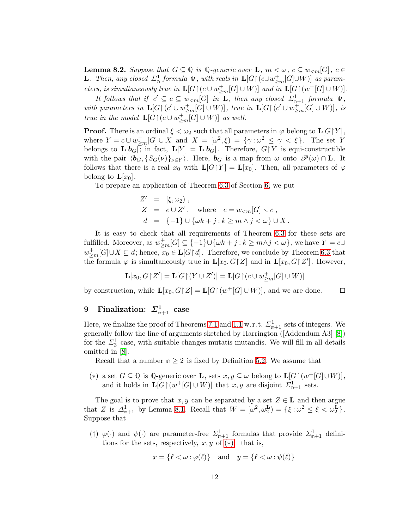<span id="page-11-3"></span>**Lemma 8.2.** Suppose that  $G \subseteq \mathbb{Q}$  is  $\mathbb{Q}$ -generic over **L**,  $m < \omega$ ,  $c \subseteq w_{\le m}[G]$ ,  $c \in$ **L**. Then, any closed  $\Sigma^1_n$  formula  $\Phi$ , with reals in  $\mathbf{L}[G \restriction (c \cup w^+_{\geq m}[G] \cup W)]$  as parameters, is simultaneously true in  $\mathbf{L}[G \restriction (c \cup w_{\geq m}^+[G] \cup W)]$  and  $\overline{in} \ \mathbf{L}[G \restriction (w^+[G] \cup W)]$ .

It follows that if  $c' \subseteq c \subseteq w_{\le m}[G]$  in  $\mathbf{L}$ , then any closed  $\Sigma_{n+1}^1$  formula  $\Psi$ , with parameters in  $\mathbf{L}[G \restriction (c' \cup w_{\geq m}^+[G] \cup W)]$ , true in  $\mathbf{L}[G \restriction (c' \cup w_{\geq m}^+[G] \cup W)]$ , is true in the model  $\mathbf{L}[G \mid (c \cup w_{\geq m}^+G] \cup W)]$  as well.

**Proof.** There is an ordinal  $\xi < \omega_2$  such that all parameters in  $\varphi$  belong to  $\mathbf{L}[G\upharpoonright Y]$ , where  $Y = c \cup w_{\geq m}^+[G] \cup X$  and  $X = [\omega^2, \xi) = {\gamma : \omega^2 \leq \gamma < \xi}.$  The set Y belongs to  $\mathbf{L}[\mathbf{b}_G]$ ; in fact,  $\mathbf{L}[Y] = \mathbf{L}[\mathbf{b}_G]$ . Therefore,  $G \upharpoonright Y$  is equi-constructible with the pair  $\langle \mathbf{b}_G, \{S_G(\nu)\}\rangle_{\nu\in Y}$ . Here,  $\mathbf{b}_G$  is a map from  $\omega$  onto  $\mathscr{P}(\omega) \cap \mathbf{L}$ . It follows that there is a real  $x_0$  with  $\mathbf{L}[G\upharpoonright Y] = \mathbf{L}[x_0]$ . Then, all parameters of  $\varphi$ belong to  $\mathbf{L}[x_0]$ .

To prepare an application of Theorem [6.3](#page-9-3) of Section [6,](#page-8-0) we put

$$
Z' = [\xi, \omega_2),
$$
  
\n
$$
Z = e \cup Z', \text{ where } e = w_{\leq m}[G] \setminus c,
$$
  
\n
$$
d = \{-1\} \cup \{\omega k + j : k \geq m \land j < \omega\} \cup X.
$$

It is easy to check that all requirements of Theorem [6.3](#page-9-3) for these sets are fulfilled. Moreover, as  $w_{\geq m}^+[G]\subseteq \{-1\} \cup \{\omega k + j : k\geq m \wedge j < \omega\}$ , we have  $Y = c \cup$  $w_{\geq m}^+[G]\cup X\subseteq d;$  hence,  $x_0\in \mathbf{L}[G\mathbf{d}]$ . Therefore, we conclude by Theorem [6.3](#page-9-3) that the formula  $\varphi$  is simultaneously true in  $\mathbf{L}[x_0, G \mid Z]$  and in  $\mathbf{L}[x_0, G \mid Z']$ . However,

$$
\mathbf{L}[x_0, G \mathord{\upharpoonright} Z'] = \mathbf{L}[G \mathord{\upharpoonright} (Y \cup Z')] = \mathbf{L}[G \mathord{\upharpoonright} (c \cup w^+_{\geq m}[G] \cup W)]
$$

 $\Box$ 

by construction, while  $\mathbf{L}[x_0, G \restriction Z] = \mathbf{L}[G \restriction (w^+[G] \cup W)],$  and we are done.

## <span id="page-11-0"></span> $9$  Finalization:  $\Sigma^1_{\mathbb{R}+1}$  case

Here, we finalize the proof of Theorems [7.1](#page-9-1) and [1.1](#page-2-0) w.r.t.  $\Sigma^1_{n+1}$  sets of integers. We generally follow the line of arguments sketched by Harrington ([Addendum A3] [\[8\]](#page-14-4)) for the  $\Sigma_3^1$  case, with suitable changes mutatis mutandis. We will fill in all details omitted in [\[8\]](#page-14-4).

Recall that a number  $n \geq 2$  is fixed by Definition [5.2.](#page-7-1) We assume that

<span id="page-11-1"></span>(\*) a set  $G \subseteq \mathbb{Q}$  is  $\mathbb{Q}$ -generic over **L**, sets  $x, y \subseteq \omega$  belong to **L**[ $G \upharpoonright (w^+[G] \cup W)$ ], and it holds in  $\mathbf{L}[G \mid (w^+[G] \cup W)]$  that  $x, y$  are disjoint  $\mathcal{L}^1_{\mathbf{n}+1}$  sets.

The goal is to prove that  $x, y$  can be separated by a set  $Z \in \mathbf{L}$  and then argue that Z is  $\Delta_{n+1}^1$  by Lemma [8.1.](#page-10-2) Recall that  $W = [\omega^2, \omega_2^{\mathbf{L}}] = {\xi : \omega^2 \leq \xi < \omega_2^{\mathbf{L}}}.$ Suppose that

<span id="page-11-2"></span>(†)  $\varphi(\cdot)$  and  $\psi(\cdot)$  are parameter-free  $\Sigma_{n+1}^1$  formulas that provide  $\Sigma_{n+1}^1$  definitions for the sets, respectively,  $x, y$  of  $(*)$ —that is,

$$
x = \{\ell < \omega : \varphi(\ell)\} \quad \text{and} \quad y = \{\ell < \omega : \psi(\ell)\}\
$$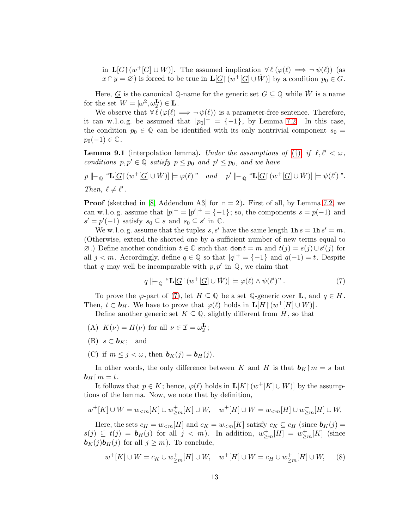in  $\mathbf{L}[G \upharpoonright (w^+[G] \cup W)]$ . The assumed implication  $\forall \ell \ (\varphi(\ell) \implies \neg \ \psi(\ell))$  (as  $x \cap y = \varnothing$ ) is forced to be true in  $\mathbf{L}[\underline{G} | (w^+[\underline{G}] \cup W)]$  by a condition  $p_0 \in G$ .

Here, <u>G</u> is the canonical  $\mathbb{Q}$ -name for the generic set  $G \subseteq \mathbb{Q}$  while  $\check{W}$  is a name for the set  $W = [\omega^2, \omega_2^{\mathbf{L}}) \in \mathbf{L}$ .

We observe that  $\forall \ell (\varphi(\ell) \Longrightarrow \neg \psi(\ell))$  is a parameter-free sentence. Therefore, it can w.l.o.g. be assumed that  $|p_0|^+ = \{-1\}$ , by Lemma [7.2.](#page-10-3) In this case, the condition  $p_0 \in \mathbb{Q}$  can be identified with its only nontrivial component  $s_0 =$  $p_0(-1) \in \mathbb{C}$ .

<span id="page-12-2"></span>**Lemma 9.1** (interpolation lemma). Under the assumptions of ([†](#page-11-2)), if  $\ell, \ell' < \omega$ , conditions  $p, p' \in \mathbb{Q}$  satisfy  $p \leq p_0$  and  $p' \leq p_0$ , and we have

$$
p \Vdash_{\mathbb{Q}} \text{``}\mathbf{L}[\underline{G} \restriction (w^+[\underline{G}] \cup \check{W})] \models \varphi(\ell) \text{''} \quad and \quad p' \Vdash_{\mathbb{Q}} \text{``}\mathbf{L}[\underline{G} \restriction (w^+[\underline{G}] \cup \check{W})] \models \psi(\ell') \text{''}.
$$
  
Then,  $\ell \neq \ell'$ .

**Proof** (sketched in [\[8,](#page-14-4) Addendum A3] for  $n = 2$ ). First of all, by Lemma [7.2,](#page-10-3) we can w.l.o.g. assume that  $|p|^+ = |p'|^+ = \{-1\}$ ; so, the components  $s = p(-1)$  and  $s' = p'(-1)$  satisfy  $s_0 \subseteq s$  and  $s_0 \subseteq s'$  in  $\mathbb{C}$ .

We w.l. o. g. assume that the tuples s, s' have the same length  $\ln s = \ln s' = m$ . (Otherwise, extend the shorted one by a sufficient number of new terms equal to  $\emptyset$ .) Define another condition  $t \in \mathbb{C}$  such that dom  $t = m$  and  $t(j) = s(j) \cup s'(j)$  for all  $j < m$ . Accordingly, define  $q \in \mathbb{Q}$  so that  $|q|^+ = \{-1\}$  and  $q(-1) = t$ . Despite that q may well be incomparable with  $p, p'$  in  $\mathbb{Q}$ , we claim that

<span id="page-12-0"></span>
$$
q \Vdash_{\mathbb{Q}} \text{``}\mathbf{L}[\underline{G} \upharpoonright (w^+[\underline{G}] \cup \check{W})] \models \varphi(\ell) \land \psi(\ell')". \tag{7}
$$

To prove the  $\varphi$ -part of [\(7\)](#page-12-0), let  $H \subseteq \mathbb{Q}$  be a set  $\mathbb{Q}$ -generic over **L**, and  $q \in H$ . Then,  $t \subset \mathbf{b}_H$ . We have to prove that  $\varphi(\ell)$  holds in  $\mathbf{L}[H \restriction (w^+[H] \cup W)]$ .

Define another generic set  $K \subseteq \mathbb{Q}$ , slightly different from H, so that

- (A)  $K(\nu) = H(\nu)$  for all  $\nu \in \mathcal{I} = \omega_2^{\mathbf{L}}$ ;
- (B)  $s \subset b_K$ ; and
- (C) if  $m \leq j < \omega$ , then  $\mathbf{b}_K(j) = \mathbf{b}_H(j)$ .

In other words, the only difference between K and H is that  $\mathbf{b}_K \upharpoonright m = s$  but  $\mathbf{b}_H \restriction m = t$ .

It follows that  $p \in K$ ; hence,  $\varphi(\ell)$  holds in  $\mathbf{L}[K \restriction (w^+[K] \cup W)]$  by the assumptions of the lemma. Now, we note that by definition,

$$
w^+[K] \cup W = w_{< m}[K] \cup w^+_{\geq m}[K] \cup W, \quad w^+[H] \cup W = w_{< m}[H] \cup w^+_{\geq m}[H] \cup W,
$$

Here, the sets  $c_H = w_{\leq m}[H]$  and  $c_K = w_{\leq m}[K]$  satisfy  $c_K \subseteq c_H$  (since  $\mathbf{b}_K(j) =$  $s(j) \subseteq t(j) = b_H(j)$  for all  $j < m$ ). In addition,  $w_{\geq m}^+[H] = w_{\geq m}^+[K]$  (since  $\mathbf{b}_K(j)\mathbf{b}_H(j)$  for all  $j \geq m$ ). To conclude,

<span id="page-12-1"></span>
$$
w^+[K] \cup W = c_K \cup w^+_{\geq m}[H] \cup W, \quad w^+[H] \cup W = c_H \cup w^+_{\geq m}[H] \cup W,\tag{8}
$$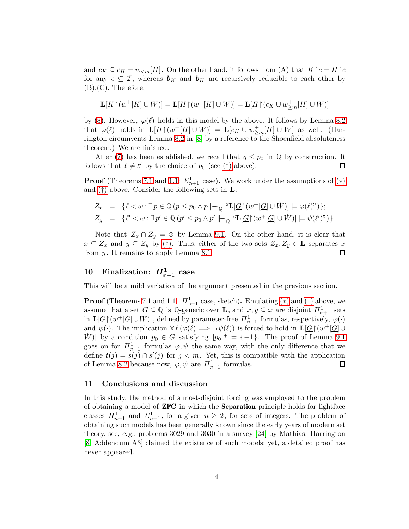and  $c_K \subseteq c_H = w_{\leq m}[H]$ . On the other hand, it follows from (A) that  $K \upharpoonright c = H \upharpoonright c$ for any  $c \subseteq \mathcal{I}$ , whereas  $\mathbf{b}_K$  and  $\mathbf{b}_H$  are recursively reducible to each other by (B),(C). Therefore,

$$
\mathbf{L}[K\!\upharpoonright\!(w^+[K]\cup W)]=\mathbf{L}[H\!\upharpoonright\!(w^+[K]\cup W)]=\mathbf{L}[H\!\upharpoonright\!(c_K\cup w^+_{\geq m}[H]\cup W)]
$$

by [\(8\)](#page-12-1). However,  $\varphi(\ell)$  holds in this model by the above. It follows by Lemma [8.2](#page-11-3) that  $\varphi(\ell)$  holds in  $\mathbf{L}[H \upharpoonright (w^+[H] \cup W)] = \mathbf{L}[c_H \cup w^+_{\geq m}[H] \cup W]$  as well. (Har-rington circumvents Lemma [8.2](#page-11-3) in [\[8\]](#page-14-4) by a reference to the Shoenfield absoluteness theorem.) We are finished.

After [\(7\)](#page-12-0) has been established, we recall that  $q \leq p_0$  in  $\mathbb{Q}$  by construction. It follows that  $\ell \neq \ell'$  by the choice of  $p_0$  [\(](#page-11-2)see (†) above). □

**Proof** (Theorems [7.1](#page-9-1) and [1.1:](#page-2-0)  $\Sigma_{n+1}^1$  case). We work under the assumptions of  $(*)$ and  $(†)$  above. Consider the following sets in  $\mathbf{L}$ :

$$
Z_x = \{ \ell < \omega : \exists p \in \mathbb{Q} \, (p \le p_0 \land p \,\|\_\mathbb{Q} \, \text{``}\mathbf{L}[\underline{G} \upharpoonright (w^+[\underline{G}] \cup \check{W})] \models \varphi(\ell) \text{''}) \};
$$
\n
$$
Z_y = \{ \ell' < \omega : \exists p' \in \mathbb{Q} \, (p' \le p_0 \land p' \,\|\_\mathbb{Q} \, \text{``}\mathbf{L}[\underline{G} \upharpoonright (w^+[\underline{G}] \cup \check{W})] \models \psi(\ell') \text{''}) \}.
$$

Note that  $Z_x \cap Z_y = \emptyset$  by Lemma [9.1.](#page-12-2) On the other hand, it is clear that  $x \subseteq Z_x$  and  $y \subseteq Z_y$  by [\(](#page-11-2)†). Thus, either of the two sets  $Z_x, Z_y \in \mathbf{L}$  separates x from  $y$ . It remains to apply Lemma [8.1.](#page-10-2)  $\Box$ 

## <span id="page-13-0"></span> $10$  Finalization:  $\Pi^1_{\mathfrak{n}+1}$  case

This will be a mild variation of the argument presented in the previous section.

**Proof** (Theorems [7.1](#page-9-1) and [1.1:](#page-2-0)  $\Pi_{\mathfrak{n}+1}^1$  case, sketch). Emulating [\(](#page-11-2)\*) and (†) above, we assume that a set  $G \subseteq \mathbb{Q}$  is  $\mathbb{Q}$ -generic over **L**, and  $x, y \subseteq \omega$  are disjoint  $\Pi_{n+1}^1$  sets in  $\mathbf{L}[G \mid (w^+[G] \cup W)]$ , defined by parameter-free  $\Pi_{n+1}^1$  formulas, respectively,  $\varphi(\cdot)$ and  $\psi(\cdot)$ . The implication  $\forall \ell (\varphi(\ell) \Longrightarrow \neg \psi(\ell))$  is forced to hold in  $\mathbf{L}[\underline{G}](w^+[\underline{G}]\cup$  $\check{W}$ ] by a condition  $p_0 \in G$  satisfying  $|p_0|^+ = \{-1\}$ . The proof of Lemma [9.1](#page-12-2) goes on for  $\prod_{n=1}^1$  formulas  $\varphi, \psi$  the same way, with the only difference that we define  $t(j) = s(j) \cap s'(j)$  for  $j < m$ . Yet, this is compatible with the application of Lemma [8.2](#page-11-3) because now,  $\varphi, \psi$  are  $\Pi_{\mathsf{n}+1}^1$  formulas.  $\Box$ 

#### 11 Conclusions and discussion

In this study, the method of almost-disjoint forcing was employed to the problem of obtaining a model of ZFC in which the Separation principle holds for lightface classes  $\Pi_{n+1}^1$  and  $\Sigma_{n+1}^1$ , for a given  $n \geq 2$ , for sets of integers. The problem of obtaining such models has been generally known since the early years of modern set theory, see, e.g., problems 3029 and 3030 in a survey [\[24\]](#page-15-8) by Mathias. Harrington [\[8,](#page-14-4) Addendum A3] claimed the existence of such models; yet, a detailed proof has never appeared.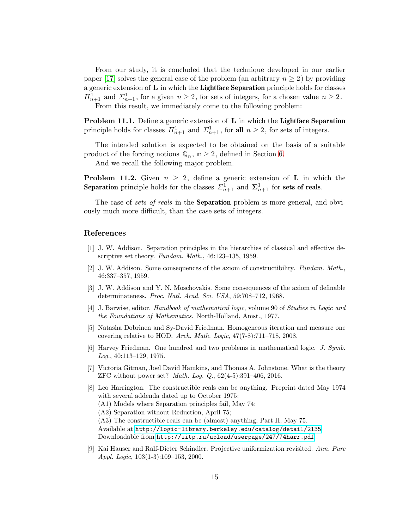From our study, it is concluded that the technique developed in our earlier paper [\[17\]](#page-15-11) solves the general case of the problem (an arbitrary  $n \geq 2$ ) by providing a generic extension of  $L$  in which the **Lightface Separation** principle holds for classes  $\Pi_{n+1}^1$  and  $\Sigma_{n+1}^1$ , for a given  $n \geq 2$ , for sets of integers, for a chosen value  $n \geq 2$ . From this result, we immediately come to the following problem:

Problem 11.1. Define a generic extension of L in which the Lightface Separation principle holds for classes  $\Pi_{n+1}^1$  and  $\Sigma_{n+1}^1$ , for all  $n \geq 2$ , for sets of integers.

The intended solution is expected to be obtained on the basis of a suitable product of the forcing notions  $\mathbb{Q}_n$ ,  $n \geq 2$ , defined in Section [6.](#page-8-0)

And we recall the following major problem.

**Problem 11.2.** Given  $n \geq 2$ , define a generic extension of **L** in which the **Separation** principle holds for the classes  $\Sigma_{n+1}^1$  and  $\Sigma_{n+1}^1$  for sets of reals.

The case of sets of reals in the **Separation** problem is more general, and obviously much more difficult, than the case sets of integers.

#### <span id="page-14-1"></span>References

- [1] J. W. Addison. Separation principles in the hierarchies of classical and effective descriptive set theory. Fundam. Math., 46:123-135, 1959.
- <span id="page-14-0"></span>[2] J. W. Addison. Some consequences of the axiom of constructibility. Fundam. Math., 46:337–357, 1959.
- <span id="page-14-2"></span>[3] J. W. Addison and Y. N. Moschovakis. Some consequences of the axiom of definable determinateness. Proc. Natl. Acad. Sci. USA, 59:708–712, 1968.
- <span id="page-14-8"></span>[4] J. Barwise, editor. Handbook of mathematical logic, volume 90 of Studies in Logic and the Foundations of Mathematics. North-Holland, Amst., 1977.
- <span id="page-14-6"></span>[5] Natasha Dobrinen and Sy-David Friedman. Homogeneous iteration and measure one covering relative to HOD. Arch. Math. Logic,  $47(7-8):711-718$ , 2008.
- <span id="page-14-5"></span>[6] Harvey Friedman. One hundred and two problems in mathematical logic. J. Symb. Log., 40:113–129, 1975.
- <span id="page-14-7"></span>[7] Victoria Gitman, Joel David Hamkins, and Thomas A. Johnstone. What is the theory ZFC without power set? Math. Log. Q., 62(4-5):391–406, 2016.
- <span id="page-14-4"></span>[8] Leo Harrington. The constructible reals can be anything. Preprint dated May 1974 with several addenda dated up to October 1975: (A1) Models where Separation principles fail, May 74; (A2) Separation without Reduction, April 75; (A3) The constructible reals can be (almost) anything, Part II, May 75. Available at <http://logic-library.berkeley.edu/catalog/detail/2135> Downloadable from <http://iitp.ru/upload/userpage/247/74harr.pdf>.
- <span id="page-14-3"></span>[9] Kai Hauser and Ralf-Dieter Schindler. Projective uniformization revisited. Ann. Pure Appl. Logic, 103(1-3):109–153, 2000.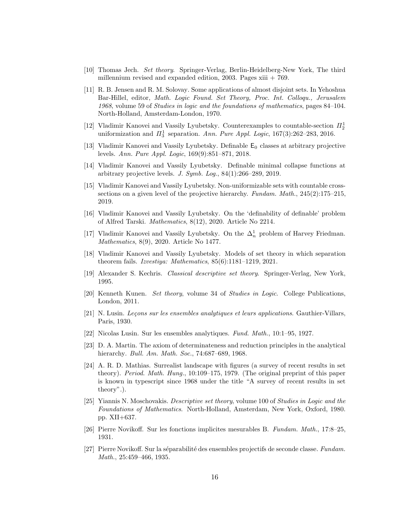- <span id="page-15-14"></span><span id="page-15-9"></span>[10] Thomas Jech. Set theory. Springer-Verlag, Berlin-Heidelberg-New York, The third millennium revised and expanded edition, 2003. Pages  $xiii + 769$ .
- [11] R. B. Jensen and R. M. Solovay. Some applications of almost disjoint sets. In Yehoshua Bar-Hillel, editor, Math. Logic Found. Set Theory, Proc. Int. Colloqu., Jerusalem 1968, volume 59 of Studies in logic and the foundations of mathematics, pages 84–104. North-Holland, Amsterdam-London, 1970.
- <span id="page-15-10"></span>[12] Vladimir Kanovei and Vassily Lyubetsky. Counterexamples to countable-section  $\Pi_2^1$ uniformization and  $\Pi_3^1$  separation. Ann. Pure Appl. Logic, 167(3):262-283, 2016.
- <span id="page-15-15"></span>[13] Vladimir Kanovei and Vassily Lyubetsky. Definable  $E_0$  classes at arbitrary projective levels. Ann. Pure Appl. Logic, 169(9):851–871, 2018.
- <span id="page-15-16"></span>[14] Vladimir Kanovei and Vassily Lyubetsky. Definable minimal collapse functions at arbitrary projective levels. J. Symb. Log.,  $84(1):266-289$ ,  $2019$ .
- <span id="page-15-17"></span>[15] Vladimir Kanovei and Vassily Lyubetsky. Non-uniformizable sets with countable crosssections on a given level of the projective hierarchy. Fundam. Math.,  $245(2):175-215$ , 2019.
- <span id="page-15-12"></span>[16] Vladimir Kanovei and Vassily Lyubetsky. On the 'definability of definable' problem of Alfred Tarski. Mathematics, 8(12), 2020. Article No 2214.
- <span id="page-15-11"></span>[17] Vladimir Kanovei and Vassily Lyubetsky. On the  $\Delta_n^1$  problem of Harvey Friedman. Mathematics, 8(9), 2020. Article No 1477.
- <span id="page-15-3"></span>[18] Vladimir Kanovei and Vassily Lyubetsky. Models of set theory in which separation theorem fails. Izvestiya: Mathematics, 85(6):1181–1219, 2021.
- <span id="page-15-13"></span><span id="page-15-2"></span>[19] Alexander S. Kechris. Classical descriptive set theory. Springer-Verlag, New York, 1995.
- [20] Kenneth Kunen. Set theory, volume 34 of Studies in Logic. College Publications, London, 2011.
- <span id="page-15-0"></span> $[21]$  N. Lusin. Leçons sur les ensembles analytiques et leurs applications. Gauthier-Villars, Paris, 1930.
- <span id="page-15-7"></span><span id="page-15-4"></span>[22] Nicolas Lusin. Sur les ensembles analytiques. Fund. Math., 10:1–95, 1927.
- [23] D. A. Martin. The axiom of determinateness and reduction principles in the analytical hierarchy. *Bull. Am. Math. Soc.*, 74:687-689, 1968.
- <span id="page-15-8"></span>[24] A. R. D. Mathias. Surrealist landscape with figures (a survey of recent results in set theory). Period. Math. Hung., 10:109–175, 1979. (The original preprint of this paper is known in typescript since 1968 under the title "A survey of recent results in set theory".).
- <span id="page-15-1"></span>[25] Yiannis N. Moschovakis. Descriptive set theory, volume 100 of Studies in Logic and the Foundations of Mathematics. North-Holland, Amsterdam, New York, Oxford, 1980. pp. XII+637.
- <span id="page-15-6"></span><span id="page-15-5"></span>[26] Pierre Novikoff. Sur les fonctions implicites mesurables B. Fundam. Math., 17:8–25, 1931.
- [27] Pierre Novikoff. Sur la séparabilité des ensembles projectifs de seconde classe. Fundam. Math., 25:459–466, 1935.